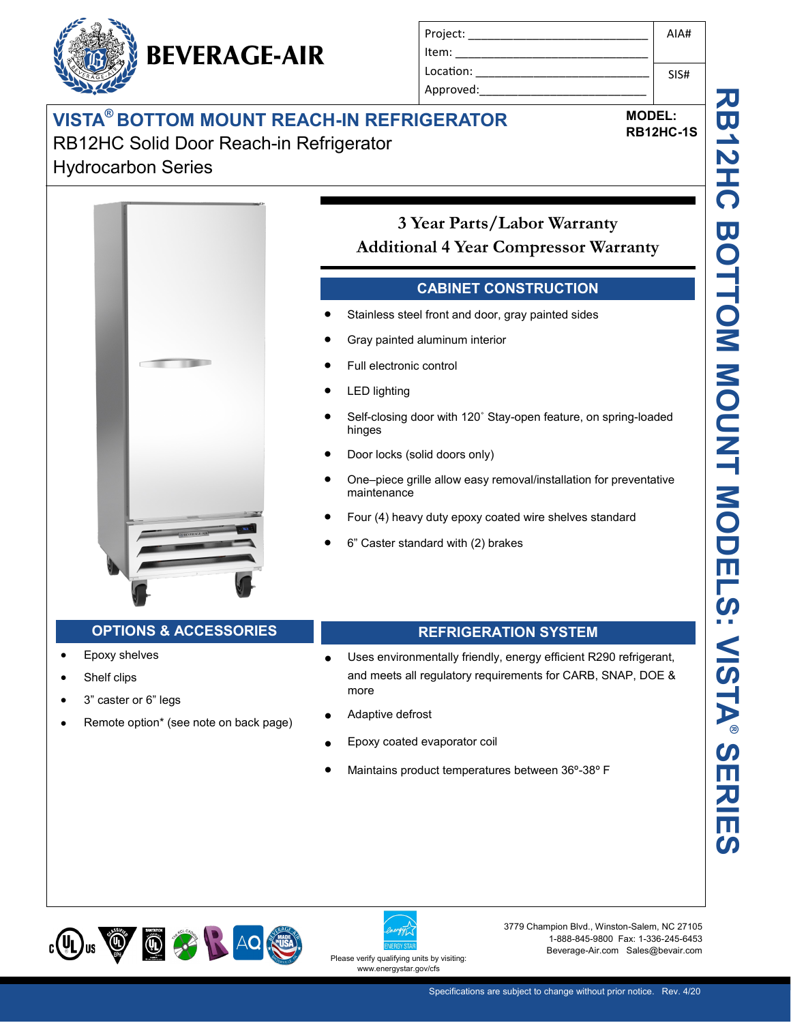# **VISTA® BOTTOM MOUNT REACH-IN REFRIGERATOR** RB12HC Solid Door Reach-in Refrigerator

**BEVERAGE-AIR** 

Hydrocarbon Series



Project: Item: Location: Approved:

## **CABINET CONSTRUCTION**

- Stainless steel front and door, gray painted sides
- Gray painted aluminum interior
- Full electronic control
- LED lighting
- Self-closing door with 120˚ Stay-open feature, on spring-loaded hinges
- Door locks (solid doors only)
- One–piece grille allow easy removal/installation for preventative maintenance
- Four (4) heavy duty epoxy coated wire shelves standard
- 6" Caster standard with (2) brakes

### **OPTIONS & ACCESSORIES REFRIGERATION SYSTEM**

**TO BEE OF** 

- Epoxy shelves
- Shelf clips
- 3" caster or 6" legs
- Remote option\* (see note on back page)

- Uses environmentally friendly, energy efficient R290 refrigerant, and meets all regulatory requirements for CARB, SNAP, DOE & more
- Adaptive defrost
- Epoxy coated evaporator coil
- Maintains product temperatures between 36º-38º F





3779 Champion Blvd., Winston-Salem, NC 27105 1-888-845-9800 Fax: 1-336-245-6453 Beverage-Air.com Sales@bevair.com

**MODEL:**

AIA#

SIS#